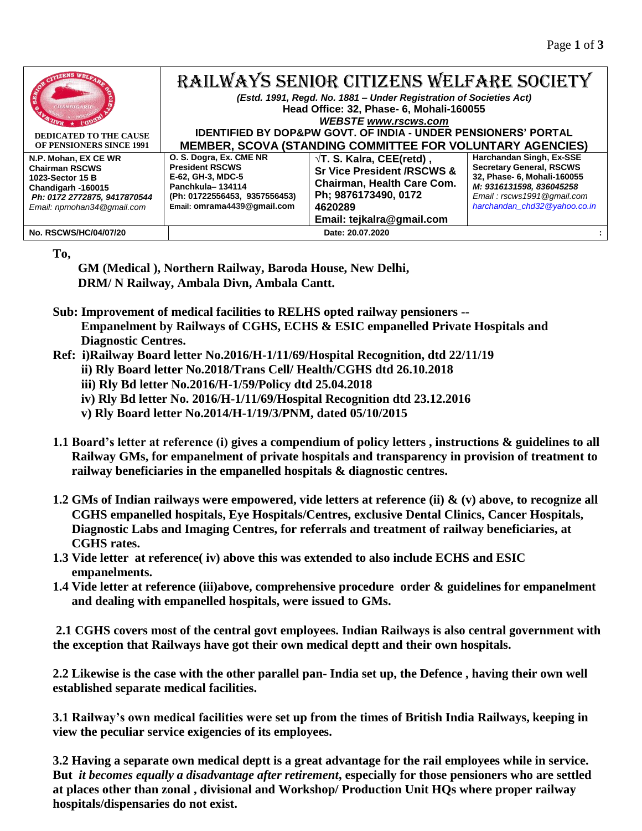| <b>DEDICATED TO THE CAUSE</b><br>OF PENSIONERS SINCE 1991                                                                                             | RAILWAYS SENIOR CITIZENS WELFARE SOCIETY<br>(Estd. 1991, Regd. No. 1881 - Under Registration of Societies Act)<br>Head Office: 32, Phase- 6, Mohali-160055<br><b>WEBSTE www.rscws.com</b><br><b>IDENTIFIED BY DOP&amp;PW GOVT. OF INDIA - UNDER PENSIONERS' PORTAL</b><br>MEMBER, SCOVA (STANDING COMMITTEE FOR VOLUNTARY AGENCIES) |                                                                                                                                                                          |                                                                                                                                                                                      |
|-------------------------------------------------------------------------------------------------------------------------------------------------------|-------------------------------------------------------------------------------------------------------------------------------------------------------------------------------------------------------------------------------------------------------------------------------------------------------------------------------------|--------------------------------------------------------------------------------------------------------------------------------------------------------------------------|--------------------------------------------------------------------------------------------------------------------------------------------------------------------------------------|
| N.P. Mohan, EX CE WR<br><b>Chairman RSCWS</b><br>1023-Sector 15 B<br>Chandigarh -160015<br>Ph: 0172 2772875, 9417870544<br>Email: npmohan34@gmail.com | O. S. Dogra, Ex. CME NR<br><b>President RSCWS</b><br>E-62, GH-3, MDC-5<br>Panchkula-134114<br>(Ph: 01722556453, 9357556453)<br>Email: omrama4439@qmail.com                                                                                                                                                                          | $\sqrt{T}$ . S. Kalra, CEE(retd),<br><b>Sr Vice President /RSCWS &amp;</b><br>Chairman, Health Care Com.<br>Ph; 9876173490, 0172<br>4620289<br>Email: tejkalra@gmail.com | Harchandan Singh, Ex-SSE<br><b>Secretary General, RSCWS</b><br>32, Phase- 6, Mohali-160055<br>M: 9316131598, 836045258<br>Email: rscws1991@gmail.com<br>harchandan chd32@yahoo.co.in |
| <b>No. RSCWS/HC/04/07/20</b>                                                                                                                          |                                                                                                                                                                                                                                                                                                                                     | Date: 20.07.2020                                                                                                                                                         |                                                                                                                                                                                      |

**To,**

 **GM (Medical ), Northern Railway, Baroda House, New Delhi, DRM/ N Railway, Ambala Divn, Ambala Cantt.**

- **Sub: Improvement of medical facilities to RELHS opted railway pensioners -- Empanelment by Railways of CGHS, ECHS & ESIC empanelled Private Hospitals and Diagnostic Centres.**
- **Ref: i)Railway Board letter No.2016/H-1/11/69/Hospital Recognition, dtd 22/11/19**
	- **ii) Rly Board letter No.2018/Trans Cell/ Health/CGHS dtd 26.10.2018**
	- **iii) Rly Bd letter No.2016/H-1/59/Policy dtd 25.04.2018**
	- **iv) Rly Bd letter No. 2016/H-1/11/69/Hospital Recognition dtd 23.12.2016**
	- **v) Rly Board letter No.2014/H-1/19/3/PNM, dated 05/10/2015**
- **1.1 Board's letter at reference (i) gives a compendium of policy letters , instructions & guidelines to all Railway GMs, for empanelment of private hospitals and transparency in provision of treatment to railway beneficiaries in the empanelled hospitals & diagnostic centres.**
- **1.2 GMs of Indian railways were empowered, vide letters at reference (ii) & (v) above, to recognize all CGHS empanelled hospitals, Eye Hospitals/Centres, exclusive Dental Clinics, Cancer Hospitals, Diagnostic Labs and Imaging Centres, for referrals and treatment of railway beneficiaries, at CGHS rates.**
- **1.3 Vide letter at reference( iv) above this was extended to also include ECHS and ESIC empanelments.**
- **1.4 Vide letter at reference (iii)above, comprehensive procedure order & guidelines for empanelment and dealing with empanelled hospitals, were issued to GMs.**

**2.1 CGHS covers most of the central govt employees. Indian Railways is also central government with the exception that Railways have got their own medical deptt and their own hospitals.**

**2.2 Likewise is the case with the other parallel pan- India set up, the Defence , having their own well established separate medical facilities.** 

**3.1 Railway's own medical facilities were set up from the times of British India Railways, keeping in view the peculiar service exigencies of its employees.**

**3.2 Having a separate own medical deptt is a great advantage for the rail employees while in service. But** *it becomes equally a disadvantage after retirement***, especially for those pensioners who are settled at places other than zonal , divisional and Workshop/ Production Unit HQs where proper railway hospitals/dispensaries do not exist.**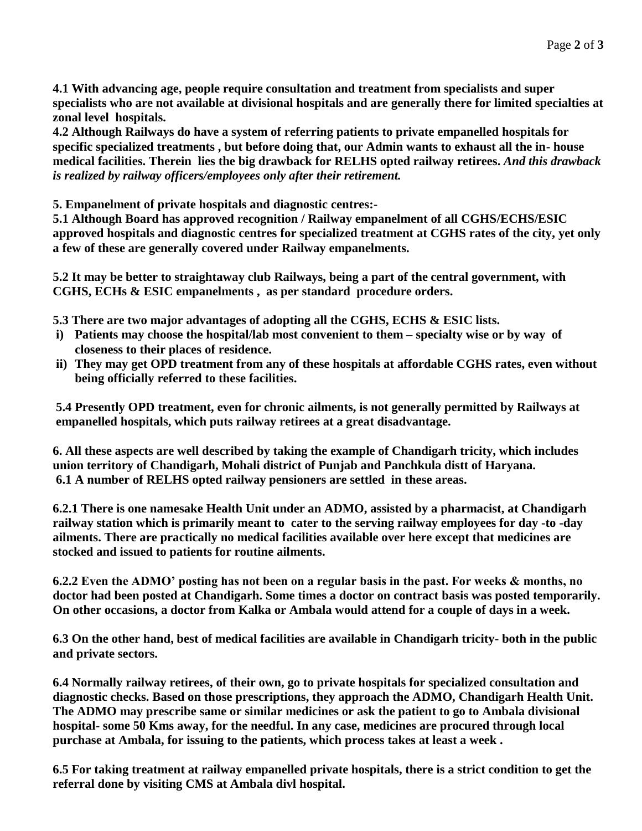**4.1 With advancing age, people require consultation and treatment from specialists and super specialists who are not available at divisional hospitals and are generally there for limited specialties at zonal level hospitals.**

**4.2 Although Railways do have a system of referring patients to private empanelled hospitals for specific specialized treatments , but before doing that, our Admin wants to exhaust all the in- house medical facilities. Therein lies the big drawback for RELHS opted railway retirees.** *And this drawback is realized by railway officers/employees only after their retirement.*

**5. Empanelment of private hospitals and diagnostic centres:-**

**5.1 Although Board has approved recognition / Railway empanelment of all CGHS/ECHS/ESIC approved hospitals and diagnostic centres for specialized treatment at CGHS rates of the city, yet only a few of these are generally covered under Railway empanelments.**

**5.2 It may be better to straightaway club Railways, being a part of the central government, with CGHS, ECHs & ESIC empanelments , as per standard procedure orders.**

**5.3 There are two major advantages of adopting all the CGHS, ECHS & ESIC lists.**

- **i) Patients may choose the hospital/lab most convenient to them – specialty wise or by way of closeness to their places of residence.**
- **ii) They may get OPD treatment from any of these hospitals at affordable CGHS rates, even without being officially referred to these facilities.**

**5.4 Presently OPD treatment, even for chronic ailments, is not generally permitted by Railways at empanelled hospitals, which puts railway retirees at a great disadvantage.**

**6. All these aspects are well described by taking the example of Chandigarh tricity, which includes union territory of Chandigarh, Mohali district of Punjab and Panchkula distt of Haryana. 6.1 A number of RELHS opted railway pensioners are settled in these areas.**

**6.2.1 There is one namesake Health Unit under an ADMO, assisted by a pharmacist, at Chandigarh railway station which is primarily meant to cater to the serving railway employees for day -to -day ailments. There are practically no medical facilities available over here except that medicines are stocked and issued to patients for routine ailments.**

**6.2.2 Even the ADMO' posting has not been on a regular basis in the past. For weeks & months, no doctor had been posted at Chandigarh. Some times a doctor on contract basis was posted temporarily. On other occasions, a doctor from Kalka or Ambala would attend for a couple of days in a week.** 

**6.3 On the other hand, best of medical facilities are available in Chandigarh tricity- both in the public and private sectors.** 

**6.4 Normally railway retirees, of their own, go to private hospitals for specialized consultation and diagnostic checks. Based on those prescriptions, they approach the ADMO, Chandigarh Health Unit. The ADMO may prescribe same or similar medicines or ask the patient to go to Ambala divisional hospital- some 50 Kms away, for the needful. In any case, medicines are procured through local purchase at Ambala, for issuing to the patients, which process takes at least a week .**

**6.5 For taking treatment at railway empanelled private hospitals, there is a strict condition to get the referral done by visiting CMS at Ambala divl hospital.**